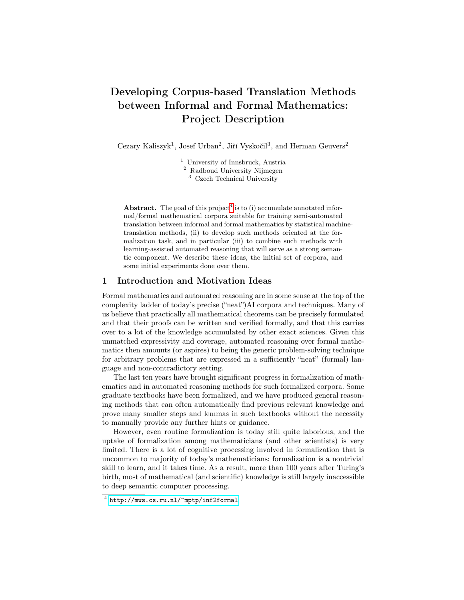# Developing Corpus-based Translation Methods between Informal and Formal Mathematics: Project Description

Cezary Kaliszyk<sup>1</sup>, Josef Urban<sup>2</sup>, Jiří Vyskočil<sup>3</sup>, and Herman Geuvers<sup>2</sup>

<sup>1</sup> University of Innsbruck, Austria <sup>2</sup> Radboud University Nijmegen <sup>3</sup> Czech Technical University

Abstract. The goal of this project<sup>[4](#page-0-0)</sup> is to (i) accumulate annotated informal/formal mathematical corpora suitable for training semi-automated translation between informal and formal mathematics by statistical machinetranslation methods, (ii) to develop such methods oriented at the formalization task, and in particular (iii) to combine such methods with learning-assisted automated reasoning that will serve as a strong semantic component. We describe these ideas, the initial set of corpora, and some initial experiments done over them.

### 1 Introduction and Motivation Ideas

Formal mathematics and automated reasoning are in some sense at the top of the complexity ladder of today's precise ("neat")AI corpora and techniques. Many of us believe that practically all mathematical theorems can be precisely formulated and that their proofs can be written and verified formally, and that this carries over to a lot of the knowledge accumulated by other exact sciences. Given this unmatched expressivity and coverage, automated reasoning over formal mathematics then amounts (or aspires) to being the generic problem-solving technique for arbitrary problems that are expressed in a sufficiently "neat" (formal) language and non-contradictory setting.

The last ten years have brought significant progress in formalization of mathematics and in automated reasoning methods for such formalized corpora. Some graduate textbooks have been formalized, and we have produced general reasoning methods that can often automatically find previous relevant knowledge and prove many smaller steps and lemmas in such textbooks without the necessity to manually provide any further hints or guidance.

However, even routine formalization is today still quite laborious, and the uptake of formalization among mathematicians (and other scientists) is very limited. There is a lot of cognitive processing involved in formalization that is uncommon to majority of today's mathematicians: formalization is a nontrivial skill to learn, and it takes time. As a result, more than 100 years after Turing's birth, most of mathematical (and scientific) knowledge is still largely inaccessible to deep semantic computer processing.

<span id="page-0-0"></span><sup>4</sup> <http://mws.cs.ru.nl/~mptp/inf2formal>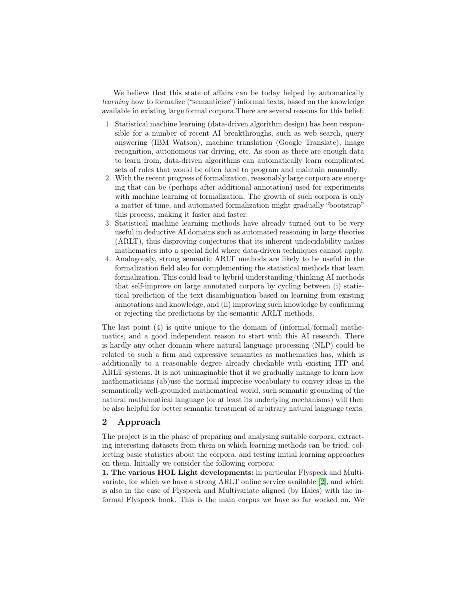We believe that this state of affairs can be today helped by automatically learning how to formalize ("semanticize") informal texts, based on the knowledge available in existing large formal corpora.There are several reasons for this belief:

- 1. Statistical machine learning (data-driven algorithm design) has been responsible for a number of recent AI breakthroughs, such as web search, query answering (IBM Watson), machine translation (Google Translate), image recognition, autonomous car driving, etc. As soon as there are enough data to learn from, data-driven algorithms can automatically learn complicated sets of rules that would be often hard to program and maintain manually.
- 2. With the recent progress of formalization, reasonably large corpora are emerging that can be (perhaps after additional annotation) used for experiments with machine learning of formalization. The growth of such corpora is only a matter of time, and automated formalization might gradually "bootstrap" this process, making it faster and faster.
- 3. Statistical machine learning methods have already turned out to be very useful in deductive AI domains such as automated reasoning in large theories (ARLT), thus disproving conjectures that its inherent undecidability makes mathematics into a special field where data-driven techniques cannot apply.
- 4. Analogously, strong semantic ARLT methods are likely to be useful in the formalization field also for complementing the statistical methods that learn formalization. This could lead to hybrid understanding/thinking AI methods that self-improve on large annotated corpora by cycling between (i) statistical prediction of the text disambiguation based on learning from existing annotations and knowledge, and (ii) improving such knowledge by confirming or rejecting the predictions by the semantic ARLT methods.

The last point (4) is quite unique to the domain of (informal/formal) mathematics, and a good independent reason to start with this AI research. There is hardly any other domain where natural language processing (NLP) could be related to such a firm and expressive semantics as mathematics has, which is additionally to a reasonable degree already checkable with existing ITP and ARLT systems. It is not unimaginable that if we gradually manage to learn how mathematicians (ab)use the normal imprecise vocabulary to convey ideas in the semantically well-grounded mathematical world, such semantic grounding of the natural mathematical language (or at least its underlying mechanisms) will then be also helpful for better semantic treatment of arbitrary natural language texts.

## 2 Approach

The project is in the phase of preparing and analysing suitable corpora, extracting interesting datasets from them on which learning methods can be tried, collecting basic statistics about the corpora. and testing initial learning approaches on them. Initially we consider the following corpora:

1. The various HOL Light developments: in particular Flyspeck and Multivariate, for which we have a strong ARLT online service available [\[2\]](#page-3-0), and which is also in the case of Flyspeck and Multivariate aligned (by Hales) with the informal Flyspeck book. This is the main corpus we have so far worked on. We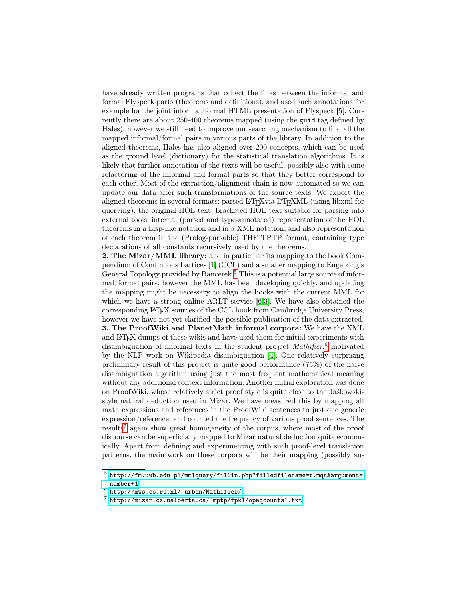have already written programs that collect the links between the informal and formal Flyspeck parts (theorems and definitions), and used such annotations for example for the joint informal/formal HTML presentation of Flyspeck [\[5\]](#page-3-1). Currently there are about 250-400 theorems mapped (using the guid tag defined by Hales), however we still need to improve our searching mechanism to find all the mapped informal/formal pairs in various parts of the library. In addition to the aligned theorems, Hales has also aligned over 200 concepts, which can be used as the ground level (dictionary) for the statistical translation algorithms. It is likely that further annotation of the texts will be useful, possibly also with some refactoring of the informal and formal parts so that they better correspond to each other. Most of the extraction/alignment chain is now automated so we can update our data after such transformations of the source texts. We export the aligned theorems in several formats: parsed LAT<sub>EX</sub>Via LAT<sub>EX</sub>ML (using libxml for querying), the original HOL text, bracketed HOL text suitable for parsing into external tools, internal (parsed and type-annotated) representation of the HOL theorems in a Lisp-like notation and in a XML notation, and also representation of each theorem in the (Prolog-parsable) THF TPTP format, containing type declarations of all constants recursively used by the theorems.

2. The Mizar/MML library: and in particular its mapping to the book Compendium of Continuous Lattices [\[1\]](#page-3-2) (CCL) and a smaller mapping to Engelking's General Topology provided by Bancerek.<sup>[5](#page-2-0)</sup> This is a potential large source of informal/formal pairs, however the MML has been developing quickly, and updating the mapping might be necessary to align the books with the current MML for which we have a strong online ARLT service [\[6,](#page-3-3)[3\]](#page-3-4). We have also obtained the corresponding LATEX sources of the CCL book from Cambridge University Press, however we have not yet clarified the possible publication of the data extracted. 3. The ProofWiki and PlanetMath informal corpora: We have the XML and LATEX dumps of these wikis and have used them for initial experiments with disambiguation of informal texts in the student project *Mathifier*,<sup>[6](#page-2-1)</sup> motivated by the NLP work on Wikipedia disambiguation [\[4\]](#page-3-5). One relatively surprising preliminary result of this project is quite good performance (75%) of the naive disambiguation algorithm using just the most frequent mathematical meaning without any additional context information. Another initial exploration was done on ProofWiki, whose relatively strict proof style is quite close to the Jaśkowskistyle natural deduction used in Mizar. We have measured this by mapping all math expressions and references in the ProofWiki sentences to just one generic expression/reference, and counted the frequency of various proof sentences. The results<sup>[7](#page-2-2)</sup> again show great homogeneity of the corpus, where most of the proof discourse can be superficially mapped to Mizar natural deduction quite economically. Apart from defining and experimenting with such proof-level translation patterns, the main work on these corpora will be their mapping (possibly au-

<span id="page-2-0"></span> $^5$  [http://fm.uwb.edu.pl/mmlquery/fillin.php?filledfilename=t.mqt&argument=](http://fm.uwb.edu.pl/mmlquery/fillin.php?filledfilename=t.mqt&argument=number+1) [number+1](http://fm.uwb.edu.pl/mmlquery/fillin.php?filledfilename=t.mqt&argument=number+1)

<span id="page-2-1"></span> $^6$  <http://mws.cs.ru.nl/~urban/Mathifier/>

<span id="page-2-2"></span> $\frac{7}{7}$  <http://mizar.cs.ualberta.ca/~mptp/fpk1/opaqcounts1.txt>